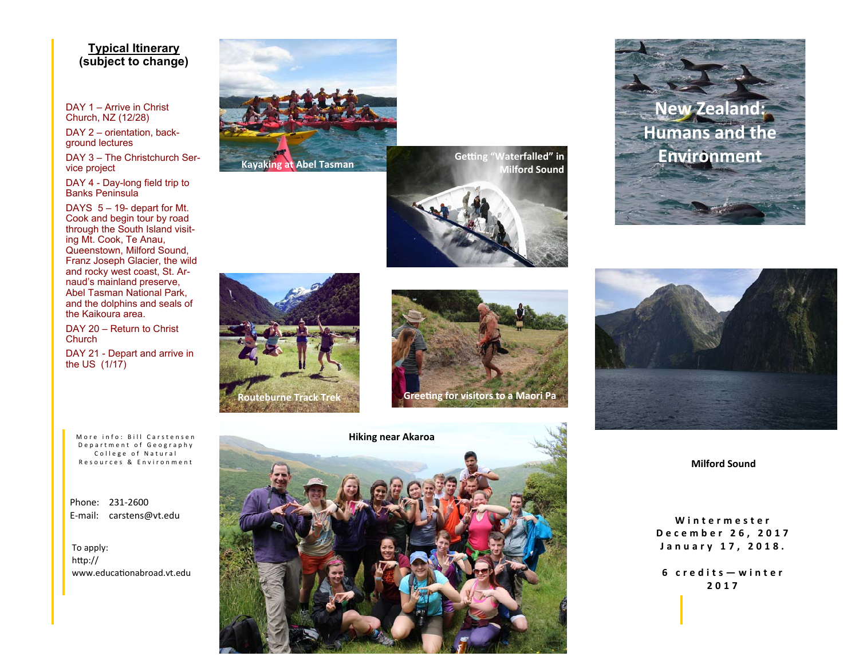# **Typical Itinerary (subject to change)**

DAY 1 – Arrive in Christ Church, NZ (12/28)

DAY 2 – orientation, background lectures

DAY 3 – The Christchurch Service project

DAY 4 - Day-long field trip to Banks Peninsula

DAYS 5 – 19- depart for Mt. Cook and begin tour by road through the South Island visiting Mt. Cook, Te Anau, Queenstown, Milford Sound, Franz Joseph Glacier, the wild and rocky west coast, St. Arnaud's mainland preserve, Abel Tasman National Park, and the dolphins and seals of the Kaikoura area.

DAY 20 – Return to Christ Church

DAY 21 - Depart and arrive in the US (1/17)

More info: Bill Carstensen Department of Geography College of Natural Resources & Environment

Phone: 231‐2600 E‐mail: carstens@vt.edu

To apply: http:// www.educaƟonabroad.vt.edu



**Milford Sound** 













**Milford Sound** 

**Wintermester December 26, 2017 January 17, 2018.** 

**6 credits—winter 2017**